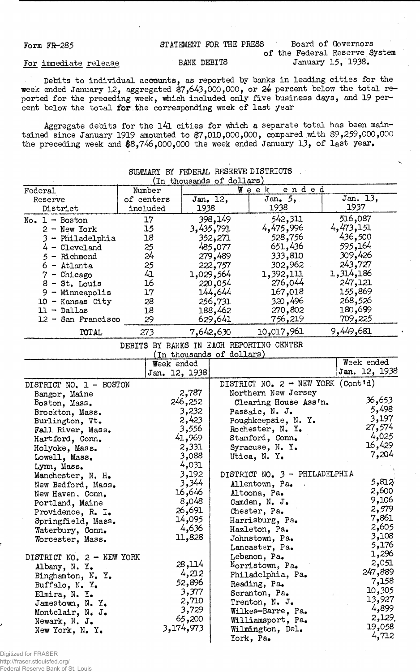Form FR-285 STATEMENT FOR THE PRESS Board of Governors of the Federal Reserve System BANK DEBITS January 15, 1938.

## For immediate release

Debits to individual accounts, as reported by banks in leading cities for the week ended January 12, aggregated \$7,643,000,000, or 24 percent below the total reported for the preceding week, which included only five business days, and 19 percent below the total for the corresponding week of last year

Aggregate debits for the l4l cities for which a separate total has been maintained since January 1919 amounted to \$7,010,000,000, compared .with \$9,259,000,000 the preceding week and \$8,746,000,000 the week ended January 13, of last year.

|                                  |            | (In thousands of dollars) |           | SUMMARY BY FEDERAL RESERVE DISTRICTS         |                  |
|----------------------------------|------------|---------------------------|-----------|----------------------------------------------|------------------|
| Federal                          | Number     |                           |           | ended<br>Week                                |                  |
| Reserve                          | of centers |                           | Jan. 12,  | Jan. 5.                                      | Jan. 13,         |
| District                         | included   | 1938                      |           | 1938                                         | 1937             |
| $No. 1 - Boston$                 | 17         |                           | 398,149   | 542,311                                      | 516,087          |
| $2 - New York$                   | 15         |                           | 3,435,791 | 4,475,996                                    | 4,473,151        |
| 3 - Philadelphia                 | 18         |                           | 352,271   | 528,756                                      | 436,500          |
| $4$ - Cleveland                  | 25         |                           | 485,077   | 651,436                                      | 595,164          |
| $5 -$ Richmond                   | 24         |                           | 279,489   | 333,810                                      | 309,426          |
| 6 - Atlanta                      | 25         |                           | 222,757   | 302,962                                      | 243,727          |
| $7 -$ Chicago                    | 41         |                           | 1,029,564 | 1,392,111                                    | 1,314,186        |
| $8 - St.$ Louis                  | 16         |                           | 220,054   | 276,044                                      | 247,121          |
| 9 - Minneapolis                  | 17         |                           | 144,644   | 167,018                                      | 155,869          |
| $10 -$ Kansas City               | 28         |                           | 256,731   | 320,496                                      | 268,526          |
| $11 - Dallas$                    | 18         |                           | 188,462   | 270,802                                      | 180,699          |
| $12 -$ San Francisco             | 29         |                           | 629,641   | 756,219                                      | 709,225          |
| <b>TOTAL</b>                     | 273        |                           | 7,642,630 | 10,017,961                                   | 9,449,681        |
|                                  |            |                           |           | DEBITS BY BANKS IN EACH REPORTING CENTER     |                  |
|                                  |            | (In thousands of dollars) |           |                                              |                  |
|                                  |            | Week ended                |           |                                              | Week ended       |
|                                  |            | Jan. 12, 1938             |           |                                              | Jan. 12, 1938    |
| DISTRICT NO. 1 - BOSTON          |            |                           |           | DISTRICT NO. $2 - \text{NEW YORK (Cont id)}$ |                  |
| Bangor, Maine                    |            | 2,787                     |           | Northern New Jersey                          |                  |
| Boston, Mass.                    |            | 246,252                   |           | Clearing House Ass'n.                        | 36,653           |
| Brockton, Mass.                  |            | 3,232                     |           | Passaic, N. J.                               | 5,498<br>3,197   |
| Burlington, Vt.                  |            | 2,423                     |           | Poughkeepsie, N. Y.                          | 27,574           |
| Fall River, Mass.                |            | 3,556                     |           | Rochester, N. Y.                             | 4,025            |
| Hartford, Conn.                  |            | 41,969<br>2,331           |           | Stamford, Conn.                              | 16,429           |
| Holyoke, Mass.                   |            | 3,088                     |           | Syracuse, N. Y.<br>Utica, N. Y.              | 7,204            |
| Lowell, Mass.                    |            | 4,031                     |           |                                              |                  |
| Lynn, Mass.<br>Manchester, N. H. |            | 3,192                     |           | DISTRICT NO. 3 - PHILADELPHIA                |                  |
| New Bedford, Mass.               |            | 3,344                     |           | Allentown, Pa.                               | 5,812            |
| New Haven, Conn.                 |            | 16,646                    |           | Altoona, Pa.                                 | 2,600            |
| Portland, Maine                  |            | 8,048                     |           | Camden, N. J.                                | 9,106            |
| Providence, R. I.                |            | 26,691                    |           | Chester, Pa.                                 | 2,579            |
| Springfield, Mass.               |            | 14,095                    |           | Harrisburg, Pa.                              | 7,861            |
| Waterbury, Conn.                 |            | 4,636                     |           | Hazleton, Pa.                                | 2,605            |
| Worcester, Mass.                 |            | 11,828                    |           | Johnstown, Pa.                               | 3,108            |
|                                  |            |                           |           | Lancaster, Pa.                               | 5,176            |
| DISTRICT NO. 2 - NEW YORK        |            |                           |           | Lebanon, Pa.                                 | 1,296            |
| Albany, N.Y.                     |            | 28,114                    |           | Norristown, Pa.                              | 2,051            |
| Binghamton, N. Y.                |            | 4,212                     |           | Philadelphia, Pa.                            | 247,889          |
| Buffalo, N. Y.                   |            | 52,896                    |           | Reading, Pa.                                 | 7,158            |
| Elmira, N. Y.                    |            | 3,377                     |           | Scranton, Pa.                                | 10,305<br>13,927 |
| Jamestown, N. Y.                 |            | 2,710                     |           | Trenton, N. J.                               | 4,899            |
| Montclair, N. J.                 |            | 3,729                     |           | Wilkes-Barre, Pa.                            | 2,129.           |
| Newark, N. J.                    |            | 65,200<br>3,174,973       |           | Williamsport, Pa.                            | 19,058           |
| New York, N. Y.                  |            |                           |           | Wilmington, Del.                             | 4,712            |
|                                  |            |                           |           | York, Pa.                                    |                  |

Digitized for FRASER http://fraser.stlouisfed.org/ Federal Reserve Bank of St. Louis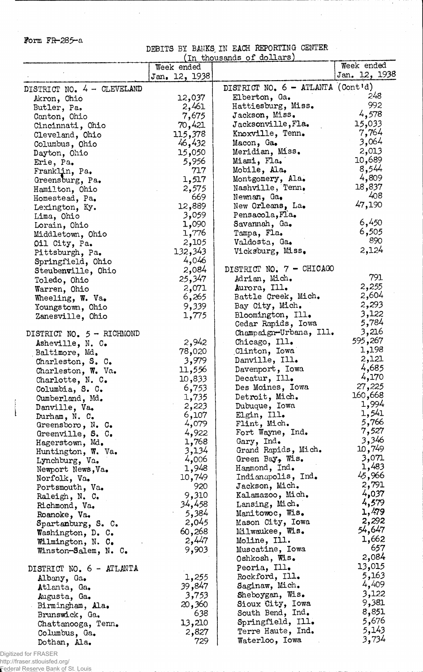form FR-285-a

 $\bar{z}$ 

DEBITS BY BANKS IN EACH REPORTING CENTER

Ţ

 $\sim 10$ 

 $\mathcal{L}^{(1)}$ 

 $\sim$ 

 $\mathcal{A}^{\mathcal{A}}$ 

 $\hat{\boldsymbol{\cdot} }$ 

|                             |                | In thousands of dollars)            |                |
|-----------------------------|----------------|-------------------------------------|----------------|
|                             | Week ended     |                                     | Week ended     |
|                             | Jan. 12, 1938  |                                     | Jan. 12, 1938  |
| DISTRICT NO. 4 - CLEVELAND  |                | DISTRICT NO. 6 - ATLANTA (Cont'd)   |                |
| Akron, Ohio                 | 12,037         | Elberton, Ga.                       | 248.           |
| Butler, Pa.                 | 2,461          | Hattiesburg, Miss.                  | 992            |
| Canton, Ohio                | 7,675          | Jackson, Miss.                      | 4,578          |
| Cincinnati, Ohio            | 70,421         | Jacksonville, Fla.                  | 15,033         |
| Cleveland, Ohio             | 115,378        | Knoxville, Tenn.                    | 7,764          |
| Columbus, Ohio              | 46,432         | Macon, Ga.                          | 3,064          |
| Dayton, Ohio                | 15,050         | Meridian, Miss.                     | 2,013          |
| Erie, Pa.                   | 5,956          | Miami, Fla.                         | 10,689         |
| Franklin, Pa.               | 717            | Mobile, Ala.                        | 8,544          |
| Greensburg, Pa.             | 1,517          | Montgomery, Ala.                    | 4,809          |
| Hamilton, Ohio              | 2,575          | Nashville, Tenn.                    | 18,837<br>408  |
| Homestead, Pa.              | 669            | Newnan, Ga.                         |                |
| Lexington, Ky.              | 12,889         | New Orleans, La.                    | 47,190         |
| Lima, Ohio                  | 3,059          | Pensacola, Fla.                     | 6,450          |
| Lorain, Ohio                | 1,090          | Savannah, Ga.                       | 6,505          |
| Middletown, Ohio            | 1,776          | Tampa, Fla.                         | 890            |
| Oil City, Pa.               | 2,105          | Valdosta, Ga.                       | 2,124          |
| Pittsburgh, Pa.             | 132,343        | Vicksburg, Miss.                    |                |
| Springfield, Ohio           | 4,046          | DISTRICT NO. 7 - CHICAGO            |                |
| Steubenville, Ohio          | 2,084          |                                     | 791            |
| Toledo, Ohio                | 25,347         | Adrian, Mich.                       | 2,255          |
| Warren, Ohio                | 2,071          | Aurora, Ill.<br>Battle Creek, Mich. | 2,604          |
| Wheeling, W. Va.            | 6,265<br>9,339 | Bay City, Mich.                     | 2,293          |
| Youngstown, Ohio            | 1,775          | Bloomington, Ill.                   | 3,122          |
| Zanesville, Ohio            |                | Cedar Rapids, Iowa                  | 5,784          |
| DISTRICT NO. $5 - RICHMOND$ |                | Champaign-Urbana, Ill.              | 3,216          |
| Asheville, N. C.            | 2,942          | Chicago, Ill.                       | 595,267        |
| Baltimore, Md.              | 78,020         | Clinton, Iowa                       | 1,198          |
| Charleston, S. C.           | 3,979          | Danville, Ill.                      | 2,121          |
| Charleston, W. Va.          | 11,556         | Davenport, Iowa                     | 4,685          |
| Charlotte, N. C.            | 10,833         | Decatur, Ill.                       | 4,170          |
| Columbia, S. C.             | 6,753          | Des Moines, Iowa                    | 27,225         |
| Cumberland, Md.             | 1,735          | Detroit, Mich.                      | 160,668        |
| Danville, Va.               | 2,223          | Dubuque, Iowa                       | 1,994          |
| Durham, N. C.               | 6,107          | Elgin, Ill.                         | 1,541          |
| Greensboro, $N_e$ . C.      | 4,079          | Flint, Mich.                        | 5,766          |
| Greenville, S. C.           | 4,922          | Fort Wayne, Ind.                    | 7,527          |
| Hagerstown, Md.             | 1,768          | Gary, Ind.                          | 3,346          |
| Huntington, W. Va.          | 3,134          | Grand Rapids, Mich.                 | 10,749         |
| Lynchburg, Va.              | 4,006          | Green Bay, Wis.                     | 3,071          |
| Newport News, Va.           | 1,948          | Hammond, Ind.                       | 1,483          |
| Norfolk, Va.                | 10,749         | Indianapolis, Ind.                  | 45,966         |
| Portsmouth, Va.             | 920            | Jackson, Mich.                      | 2,791          |
| Raleigh, N. C.              | 9,310          | Kalamazoo, Mich.                    | 4,037          |
| Richmond, Va.               | 34,458         | Lansing, Mich.                      | 4,579          |
| Roanoke, Va.                | 5,384          | Manitowoc, Wis.                     | 1,479          |
| Spartanburg, S. C.          | 2,045          | Mason City, Iowa                    | 2,292          |
| Washington, D. C.           | 60,268         | Milwaukee, Wis.                     | 54,647         |
| Wilmington, N. C.           | 2,447          | Moline, Ill.                        | 1,662          |
| Winston-Salem, N. C.        | 9,903          | Muscatine, Iowa                     | 657            |
|                             |                | Oshkosh, Wis.                       | 2,084          |
| DISTRICT NO. 6 - ATLANTA    |                | Peoria, Ill.                        | 13,015         |
| Albany, Ga.                 | 1,255          | Rockford, Ill.                      | 5,163<br>4,409 |
| Atlanta, Ga.                | 39,847         | Saginaw, Mich.                      | 3,122          |
| Augusta, Ga.                | 3,753          | Sheboygan, Wis.                     | 9,381          |
| Birmingham, Ala.            | 20,360         | Sioux City, Iowa                    | 8,851          |
| Brunswick, Ga.              | 638            | South Bend, Ind.                    | 5,676          |
| Chattanooga, Tenn.          | 13,210         | Springfield, Ill.                   | 5,143          |
| Columbus, Ga.               | 2,827          | Terre Haute, Ind.                   | 3,734          |
| Dothan, Ala.                | 729            | Waterloo, Iowa                      |                |

Digitized for FRASER

http://fraser.stlouisfed.org/ Federal Reserve Bank of St. Louis